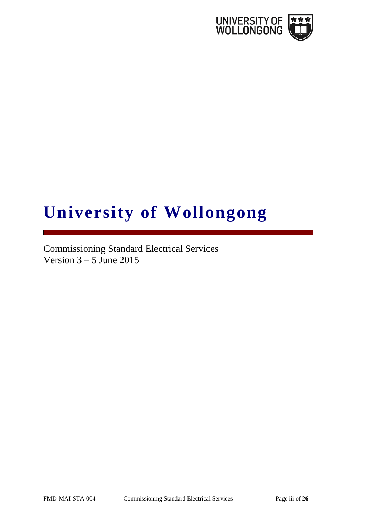

# **University of Wollongong**

Commissioning Standard Electrical Services Version  $3 - 5$  June 2015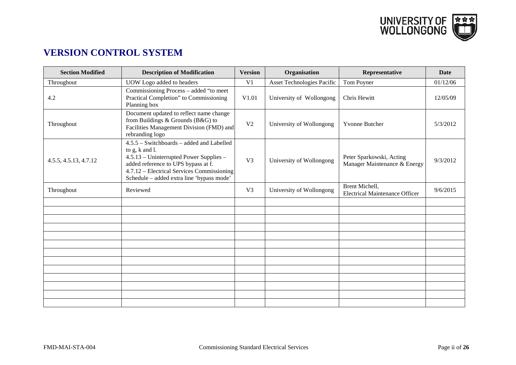

# **VERSION CONTROL SYSTEM**

| <b>Section Modified</b> | <b>Description of Modification</b>                                                                                                                                                                                                         | <b>Version</b> | Organisation               | Representative                                           | <b>Date</b> |
|-------------------------|--------------------------------------------------------------------------------------------------------------------------------------------------------------------------------------------------------------------------------------------|----------------|----------------------------|----------------------------------------------------------|-------------|
| Throughout              | UOW Logo added to headers                                                                                                                                                                                                                  | V <sub>1</sub> | Asset Technologies Pacific | Tom Poyner                                               | 01/12/06    |
| 4.2                     | Commissioning Process - added "to meet<br>Practical Completion" to Commissioning<br>Planning box                                                                                                                                           | V1.01          | University of Wollongong   | Chris Hewitt                                             | 12/05/09    |
| Throughout              | Document updated to reflect name change<br>from Buildings & Grounds ( $B&G$ ) to<br>Facilities Management Division (FMD) and<br>rebranding logo                                                                                            | V <sub>2</sub> | University of Wollongong   | <b>Yvonne Butcher</b>                                    | 5/3/2012    |
| 4.5.5, 4.5.13, 4.7.12   | $4.5.5 - Switchboards - added$ and Labelled<br>to g, k and l.<br>4.5.13 – Uninterrupted Power Supplies –<br>added reference to UPS bypass at f.<br>4.7.12 – Electrical Services Commissioning<br>Schedule - added extra line 'bypass mode' | V <sub>3</sub> | University of Wollongong   | Peter Sparkowski, Acting<br>Manager Maintenance & Energy | 9/3/2012    |
| Throughout              | Reviewed                                                                                                                                                                                                                                   | V <sub>3</sub> | University of Wollongong   | Brent Michell,<br><b>Electrical Maintenance Officer</b>  | 9/6/2015    |
|                         |                                                                                                                                                                                                                                            |                |                            |                                                          |             |
|                         |                                                                                                                                                                                                                                            |                |                            |                                                          |             |
|                         |                                                                                                                                                                                                                                            |                |                            |                                                          |             |
|                         |                                                                                                                                                                                                                                            |                |                            |                                                          |             |
|                         |                                                                                                                                                                                                                                            |                |                            |                                                          |             |
|                         |                                                                                                                                                                                                                                            |                |                            |                                                          |             |
|                         |                                                                                                                                                                                                                                            |                |                            |                                                          |             |
|                         |                                                                                                                                                                                                                                            |                |                            |                                                          |             |
|                         |                                                                                                                                                                                                                                            |                |                            |                                                          |             |
|                         |                                                                                                                                                                                                                                            |                |                            |                                                          |             |
|                         |                                                                                                                                                                                                                                            |                |                            |                                                          |             |
|                         |                                                                                                                                                                                                                                            |                |                            |                                                          |             |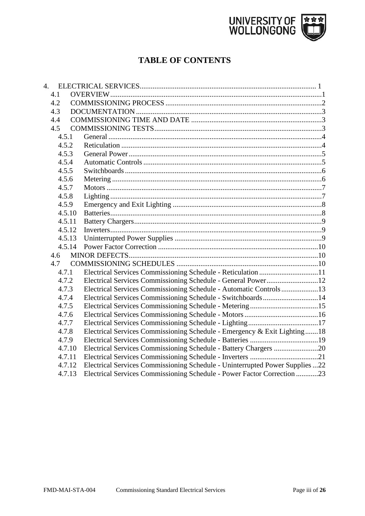

# **TABLE OF CONTENTS**

| 4. |        |                                                                              |  |
|----|--------|------------------------------------------------------------------------------|--|
|    | 4.1    |                                                                              |  |
|    | 4.2    |                                                                              |  |
|    | 4.3    |                                                                              |  |
|    | 4.4    |                                                                              |  |
|    | 4.5    |                                                                              |  |
|    | 4.5.1  |                                                                              |  |
|    | 4.5.2  |                                                                              |  |
|    | 4.5.3  |                                                                              |  |
|    | 4.5.4  |                                                                              |  |
|    | 4.5.5  |                                                                              |  |
|    | 4.5.6  |                                                                              |  |
|    | 4.5.7  |                                                                              |  |
|    | 4.5.8  |                                                                              |  |
|    | 4.5.9  |                                                                              |  |
|    | 4.5.10 |                                                                              |  |
|    | 4.5.11 |                                                                              |  |
|    | 4.5.12 |                                                                              |  |
|    | 4.5.13 |                                                                              |  |
|    | 4.5.14 |                                                                              |  |
|    | 4.6    |                                                                              |  |
|    | 4.7    |                                                                              |  |
|    | 4.7.1  |                                                                              |  |
|    | 4.7.2  | Electrical Services Commissioning Schedule - General Power12                 |  |
|    | 4.7.3  | Electrical Services Commissioning Schedule - Automatic Controls13            |  |
|    | 4.7.4  | Electrical Services Commissioning Schedule - Switchboards14                  |  |
|    | 4.7.5  |                                                                              |  |
|    | 4.7.6  |                                                                              |  |
|    | 4.7.7  |                                                                              |  |
|    | 4.7.8  | Electrical Services Commissioning Schedule - Emergency & Exit Lighting18     |  |
|    | 4.7.9  |                                                                              |  |
|    | 4.7.10 | Electrical Services Commissioning Schedule - Battery Chargers 20             |  |
|    | 4.7.11 |                                                                              |  |
|    | 4.7.12 | Electrical Services Commissioning Schedule - Uninterrupted Power Supplies 22 |  |
|    | 4.7.13 | Electrical Services Commissioning Schedule - Power Factor Correction 23      |  |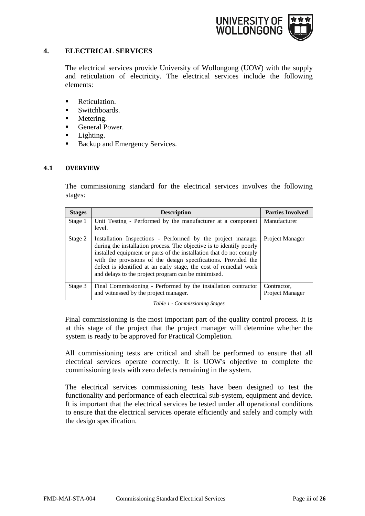

# <span id="page-3-0"></span>**4. ELECTRICAL SERVICES**

The electrical services provide University of Wollongong (UOW) with the supply and reticulation of electricity. The electrical services include the following elements:

- **Reticulation.**
- **Switchboards.**
- **Metering.**
- General Power.
- **Lighting.**
- Backup and Emergency Services.

#### <span id="page-3-1"></span>**4.1 OVERVIEW**

The commissioning standard for the electrical services involves the following stages:

| <b>Stages</b> | <b>Description</b>                                                                                                                                                                                                                                                                                                                                                                                       | <b>Parties Involved</b>        |
|---------------|----------------------------------------------------------------------------------------------------------------------------------------------------------------------------------------------------------------------------------------------------------------------------------------------------------------------------------------------------------------------------------------------------------|--------------------------------|
| Stage 1       | Unit Testing - Performed by the manufacturer at a component<br>level.                                                                                                                                                                                                                                                                                                                                    | Manufacturer                   |
| Stage 2       | Installation Inspections - Performed by the project manager<br>during the installation process. The objective is to identify poorly<br>installed equipment or parts of the installation that do not comply<br>with the provisions of the design specifications. Provided the<br>defect is identified at an early stage, the cost of remedial work<br>and delays to the project program can be minimised. | Project Manager                |
| Stage 3       | Final Commissioning - Performed by the installation contractor<br>and witnessed by the project manager.                                                                                                                                                                                                                                                                                                  | Contractor,<br>Project Manager |

*Table 1 - Commissioning Stages*

Final commissioning is the most important part of the quality control process. It is at this stage of the project that the project manager will determine whether the system is ready to be approved for Practical Completion.

All commissioning tests are critical and shall be performed to ensure that all electrical services operate correctly. It is UOW's objective to complete the commissioning tests with zero defects remaining in the system.

The electrical services commissioning tests have been designed to test the functionality and performance of each electrical sub-system, equipment and device. It is important that the electrical services be tested under all operational conditions to ensure that the electrical services operate efficiently and safely and comply with the design specification.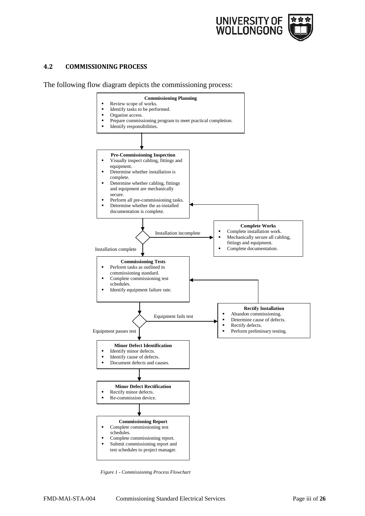

#### <span id="page-4-0"></span>**4.2 COMMISSIONING PROCESS**

The following flow diagram depicts the commissioning process:



*Figure 1 - Commissioning Process Flowchart*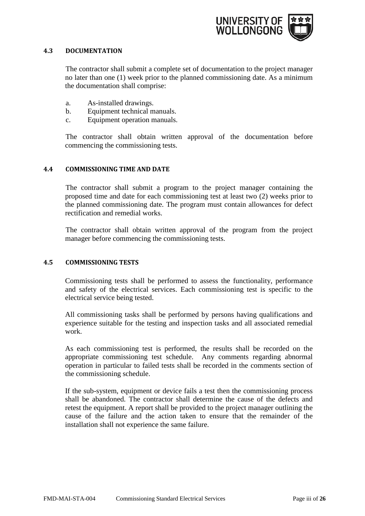

#### <span id="page-5-0"></span>**4.3 DOCUMENTATION**

The contractor shall submit a complete set of documentation to the project manager no later than one (1) week prior to the planned commissioning date. As a minimum the documentation shall comprise:

- a. As-installed drawings.
- b. Equipment technical manuals.
- c. Equipment operation manuals.

The contractor shall obtain written approval of the documentation before commencing the commissioning tests.

#### <span id="page-5-1"></span>**4.4 COMMISSIONING TIME AND DATE**

The contractor shall submit a program to the project manager containing the proposed time and date for each commissioning test at least two (2) weeks prior to the planned commissioning date. The program must contain allowances for defect rectification and remedial works.

The contractor shall obtain written approval of the program from the project manager before commencing the commissioning tests.

#### <span id="page-5-2"></span>**4.5 COMMISSIONING TESTS**

Commissioning tests shall be performed to assess the functionality, performance and safety of the electrical services. Each commissioning test is specific to the electrical service being tested.

All commissioning tasks shall be performed by persons having qualifications and experience suitable for the testing and inspection tasks and all associated remedial work.

As each commissioning test is performed, the results shall be recorded on the appropriate commissioning test schedule. Any comments regarding abnormal operation in particular to failed tests shall be recorded in the comments section of the commissioning schedule.

If the sub-system, equipment or device fails a test then the commissioning process shall be abandoned. The contractor shall determine the cause of the defects and retest the equipment. A report shall be provided to the project manager outlining the cause of the failure and the action taken to ensure that the remainder of the installation shall not experience the same failure.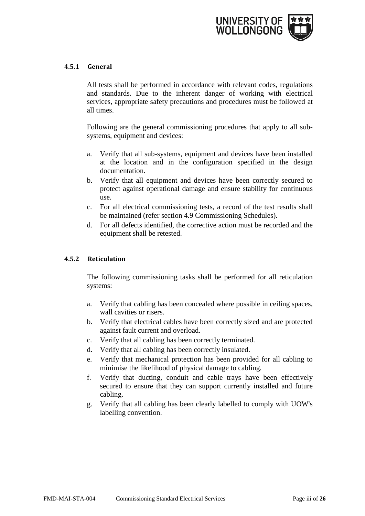

# <span id="page-6-0"></span>**4.5.1 General**

All tests shall be performed in accordance with relevant codes, regulations and standards. Due to the inherent danger of working with electrical services, appropriate safety precautions and procedures must be followed at all times.

Following are the general commissioning procedures that apply to all subsystems, equipment and devices:

- a. Verify that all sub-systems, equipment and devices have been installed at the location and in the configuration specified in the design documentation.
- b. Verify that all equipment and devices have been correctly secured to protect against operational damage and ensure stability for continuous use.
- c. For all electrical commissioning tests, a record of the test results shall be maintained (refer section 4.9 Commissioning Schedules).
- d. For all defects identified, the corrective action must be recorded and the equipment shall be retested.

#### <span id="page-6-1"></span>**4.5.2 Reticulation**

The following commissioning tasks shall be performed for all reticulation systems:

- a. Verify that cabling has been concealed where possible in ceiling spaces, wall cavities or risers.
- b. Verify that electrical cables have been correctly sized and are protected against fault current and overload.
- c. Verify that all cabling has been correctly terminated.
- d. Verify that all cabling has been correctly insulated.
- e. Verify that mechanical protection has been provided for all cabling to minimise the likelihood of physical damage to cabling.
- f. Verify that ducting, conduit and cable trays have been effectively secured to ensure that they can support currently installed and future cabling.
- g. Verify that all cabling has been clearly labelled to comply with UOW's labelling convention.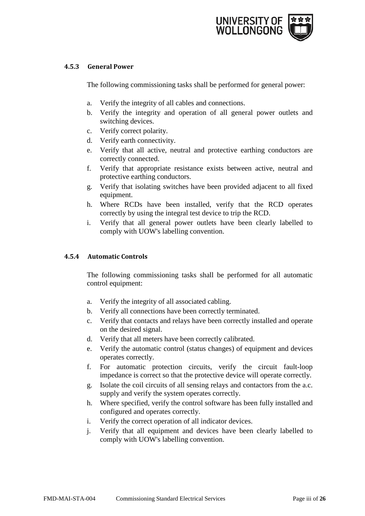

# <span id="page-7-0"></span>**4.5.3 General Power**

The following commissioning tasks shall be performed for general power:

- a. Verify the integrity of all cables and connections.
- b. Verify the integrity and operation of all general power outlets and switching devices.
- c. Verify correct polarity.
- d. Verify earth connectivity.
- e. Verify that all active, neutral and protective earthing conductors are correctly connected.
- f. Verify that appropriate resistance exists between active, neutral and protective earthing conductors.
- g. Verify that isolating switches have been provided adjacent to all fixed equipment.
- h. Where RCDs have been installed, verify that the RCD operates correctly by using the integral test device to trip the RCD.
- i. Verify that all general power outlets have been clearly labelled to comply with UOW's labelling convention.

#### <span id="page-7-1"></span>**4.5.4 Automatic Controls**

The following commissioning tasks shall be performed for all automatic control equipment:

- a. Verify the integrity of all associated cabling.
- b. Verify all connections have been correctly terminated.
- c. Verify that contacts and relays have been correctly installed and operate on the desired signal.
- d. Verify that all meters have been correctly calibrated.
- e. Verify the automatic control (status changes) of equipment and devices operates correctly.
- f. For automatic protection circuits, verify the circuit fault-loop impedance is correct so that the protective device will operate correctly.
- g. Isolate the coil circuits of all sensing relays and contactors from the a.c. supply and verify the system operates correctly.
- h. Where specified, verify the control software has been fully installed and configured and operates correctly.
- i. Verify the correct operation of all indicator devices.
- j. Verify that all equipment and devices have been clearly labelled to comply with UOW's labelling convention.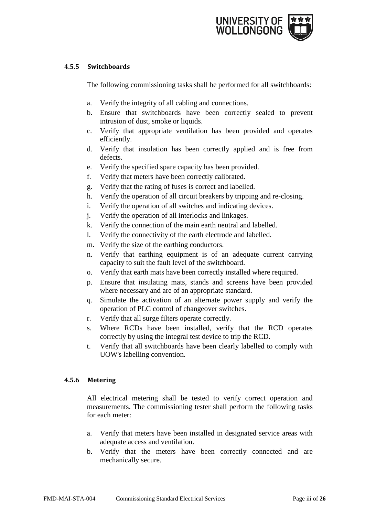

# <span id="page-8-0"></span>**4.5.5 Switchboards**

The following commissioning tasks shall be performed for all switchboards:

- a. Verify the integrity of all cabling and connections.
- b. Ensure that switchboards have been correctly sealed to prevent intrusion of dust, smoke or liquids.
- c. Verify that appropriate ventilation has been provided and operates efficiently.
- d. Verify that insulation has been correctly applied and is free from defects.
- e. Verify the specified spare capacity has been provided.
- f. Verify that meters have been correctly calibrated.
- g. Verify that the rating of fuses is correct and labelled.
- h. Verify the operation of all circuit breakers by tripping and re-closing.
- i. Verify the operation of all switches and indicating devices.
- j. Verify the operation of all interlocks and linkages.
- k. Verify the connection of the main earth neutral and labelled.
- l. Verify the connectivity of the earth electrode and labelled.
- m. Verify the size of the earthing conductors.
- n. Verify that earthing equipment is of an adequate current carrying capacity to suit the fault level of the switchboard.
- o. Verify that earth mats have been correctly installed where required.
- p. Ensure that insulating mats, stands and screens have been provided where necessary and are of an appropriate standard.
- q. Simulate the activation of an alternate power supply and verify the operation of PLC control of changeover switches.
- r. Verify that all surge filters operate correctly.
- s. Where RCDs have been installed, verify that the RCD operates correctly by using the integral test device to trip the RCD.
- t. Verify that all switchboards have been clearly labelled to comply with UOW's labelling convention.

# <span id="page-8-1"></span>**4.5.6 Metering**

All electrical metering shall be tested to verify correct operation and measurements. The commissioning tester shall perform the following tasks for each meter:

- a. Verify that meters have been installed in designated service areas with adequate access and ventilation.
- b. Verify that the meters have been correctly connected and are mechanically secure.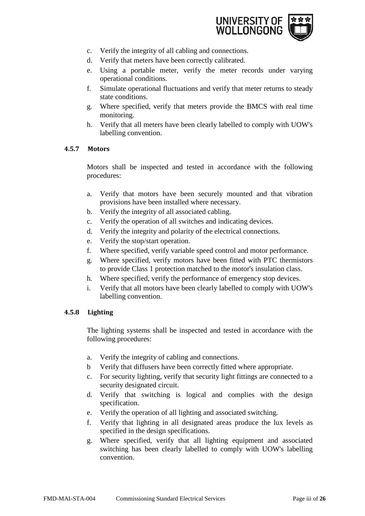

- c. Verify the integrity of all cabling and connections.
- d. Verify that meters have been correctly calibrated.
- e. Using a portable meter, verify the meter records under varying operational conditions.
- f. Simulate operational fluctuations and verify that meter returns to steady state conditions.
- g. Where specified, verify that meters provide the BMCS with real time monitoring.
- h. Verify that all meters have been clearly labelled to comply with UOW's labelling convention.

# <span id="page-9-0"></span>**4.5.7 Motors**

Motors shall be inspected and tested in accordance with the following procedures:

- a. Verify that motors have been securely mounted and that vibration provisions have been installed where necessary.
- b. Verify the integrity of all associated cabling.
- c. Verify the operation of all switches and indicating devices.
- d. Verify the integrity and polarity of the electrical connections.
- e. Verify the stop/start operation.
- f. Where specified, verify variable speed control and motor performance.
- g. Where specified, verify motors have been fitted with PTC thermistors to provide Class 1 protection matched to the motor's insulation class.
- h. Where specified, verify the performance of emergency stop devices.
- i. Verify that all motors have been clearly labelled to comply with UOW's labelling convention.

# <span id="page-9-1"></span>**4.5.8 Lighting**

The lighting systems shall be inspected and tested in accordance with the following procedures:

- a. Verify the integrity of cabling and connections.
- b Verify that diffusers have been correctly fitted where appropriate.
- c. For security lighting, verify that security light fittings are connected to a security designated circuit.
- d. Verify that switching is logical and complies with the design specification.
- e. Verify the operation of all lighting and associated switching.
- f. Verify that lighting in all designated areas produce the lux levels as specified in the design specifications.
- g. Where specified, verify that all lighting equipment and associated switching has been clearly labelled to comply with UOW's labelling convention.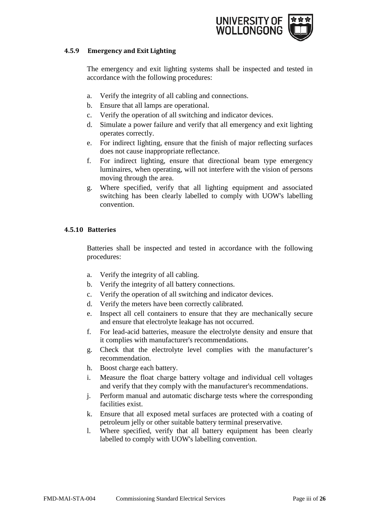

#### <span id="page-10-0"></span>**4.5.9 Emergency and Exit Lighting**

The emergency and exit lighting systems shall be inspected and tested in accordance with the following procedures:

- a. Verify the integrity of all cabling and connections.
- b. Ensure that all lamps are operational.
- c. Verify the operation of all switching and indicator devices.
- d. Simulate a power failure and verify that all emergency and exit lighting operates correctly.
- e. For indirect lighting, ensure that the finish of major reflecting surfaces does not cause inappropriate reflectance.
- f. For indirect lighting, ensure that directional beam type emergency luminaires, when operating, will not interfere with the vision of persons moving through the area.
- g. Where specified, verify that all lighting equipment and associated switching has been clearly labelled to comply with UOW's labelling convention.

# <span id="page-10-1"></span>**4.5.10 Batteries**

Batteries shall be inspected and tested in accordance with the following procedures:

- a. Verify the integrity of all cabling.
- b. Verify the integrity of all battery connections.
- c. Verify the operation of all switching and indicator devices.
- d. Verify the meters have been correctly calibrated.
- e. Inspect all cell containers to ensure that they are mechanically secure and ensure that electrolyte leakage has not occurred.
- f. For lead-acid batteries, measure the electrolyte density and ensure that it complies with manufacturer's recommendations.
- g. Check that the electrolyte level complies with the manufacturer's recommendation.
- h. Boost charge each battery.
- i. Measure the float charge battery voltage and individual cell voltages and verify that they comply with the manufacturer's recommendations.
- j. Perform manual and automatic discharge tests where the corresponding facilities exist.
- k. Ensure that all exposed metal surfaces are protected with a coating of petroleum jelly or other suitable battery terminal preservative.
- l. Where specified, verify that all battery equipment has been clearly labelled to comply with UOW's labelling convention.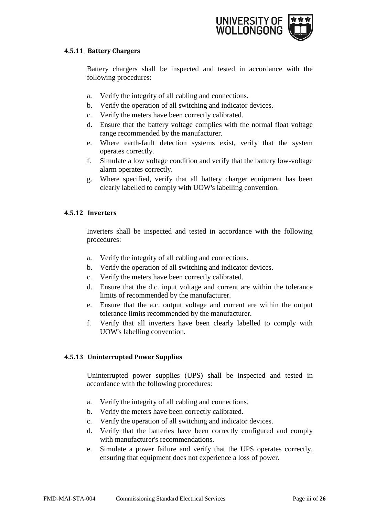

#### <span id="page-11-0"></span>**4.5.11 Battery Chargers**

Battery chargers shall be inspected and tested in accordance with the following procedures:

- a. Verify the integrity of all cabling and connections.
- b. Verify the operation of all switching and indicator devices.
- c. Verify the meters have been correctly calibrated.
- d. Ensure that the battery voltage complies with the normal float voltage range recommended by the manufacturer.
- e. Where earth-fault detection systems exist, verify that the system operates correctly.
- f. Simulate a low voltage condition and verify that the battery low-voltage alarm operates correctly.
- g. Where specified, verify that all battery charger equipment has been clearly labelled to comply with UOW's labelling convention.

# <span id="page-11-1"></span>**4.5.12 Inverters**

Inverters shall be inspected and tested in accordance with the following procedures:

- a. Verify the integrity of all cabling and connections.
- b. Verify the operation of all switching and indicator devices.
- c. Verify the meters have been correctly calibrated.
- d. Ensure that the d.c. input voltage and current are within the tolerance limits of recommended by the manufacturer.
- e. Ensure that the a.c. output voltage and current are within the output tolerance limits recommended by the manufacturer.
- f. Verify that all inverters have been clearly labelled to comply with UOW's labelling convention.

# <span id="page-11-2"></span>**4.5.13 Uninterrupted Power Supplies**

Uninterrupted power supplies (UPS) shall be inspected and tested in accordance with the following procedures:

- a. Verify the integrity of all cabling and connections.
- b. Verify the meters have been correctly calibrated.
- c. Verify the operation of all switching and indicator devices.
- d. Verify that the batteries have been correctly configured and comply with manufacturer's recommendations.
- e. Simulate a power failure and verify that the UPS operates correctly, ensuring that equipment does not experience a loss of power.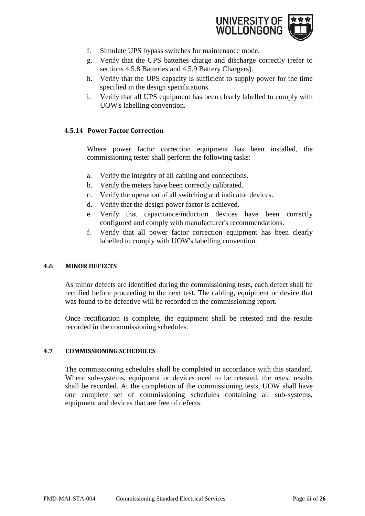

- f. Simulate UPS bypass switches for maintenance mode.
- g. Verify that the UPS batteries charge and discharge correctly (refer to sections 4.5.8 Batteries and 4.5.9 Battery Chargers).
- h. Verify that the UPS capacity is sufficient to supply power for the time specified in the design specifications.
- i. Verify that all UPS equipment has been clearly labelled to comply with UOW's labelling convention.

# <span id="page-12-0"></span>**4.5.14 Power Factor Correction**

Where power factor correction equipment has been installed, the commissioning tester shall perform the following tasks:

- a. Verify the integrity of all cabling and connections.
- b. Verify the meters have been correctly calibrated.
- c. Verify the operation of all switching and indicator devices.
- d. Verify that the design power factor is achieved.
- e. Verify that capacitance/induction devices have been correctly configured and comply with manufacturer's recommendations.
- f. Verify that all power factor correction equipment has been clearly labelled to comply with UOW's labelling convention.

#### <span id="page-12-1"></span>**4.6 MINOR DEFECTS**

As minor defects are identified during the commissioning tests, each defect shall be rectified before proceeding to the next test. The cabling, equipment or device that was found to be defective will be recorded in the commissioning report.

Once rectification is complete, the equipment shall be retested and the results recorded in the commissioning schedules.

#### <span id="page-12-2"></span>**4.7 COMMISSIONING SCHEDULES**

The commissioning schedules shall be completed in accordance with this standard. Where sub-systems, equipment or devices need to be retested, the retest results shall be recorded. At the completion of the commissioning tests, UOW shall have one complete set of commissioning schedules containing all sub-systems, equipment and devices that are free of defects.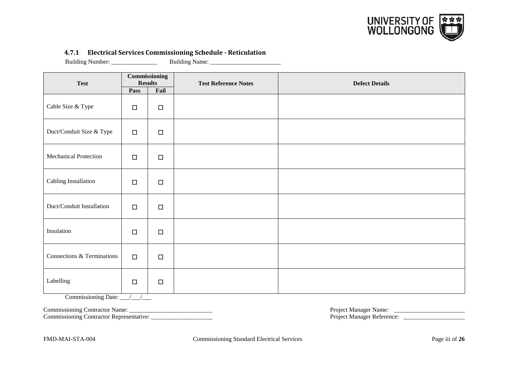

#### **4.7.1 Electrical Services Commissioning Schedule - Reticulation**

Building Number: \_\_\_\_\_\_\_\_\_\_\_\_\_\_\_ Building Name: \_\_\_\_\_\_\_\_\_\_\_\_\_\_\_\_\_\_\_\_\_\_\_

| <b>Test</b>                  | <b>Commissioning</b><br><b>Results</b> |        | <b>Test Reference Notes</b> | <b>Defect Details</b> |  |  |
|------------------------------|----------------------------------------|--------|-----------------------------|-----------------------|--|--|
|                              | Pass                                   | Fail   |                             |                       |  |  |
| Cable Size & Type            | $\Box$                                 | $\Box$ |                             |                       |  |  |
| Duct/Conduit Size & Type     | $\Box$                                 | $\Box$ |                             |                       |  |  |
| <b>Mechanical Protection</b> | $\Box$                                 | $\Box$ |                             |                       |  |  |
| Cabling Installation         | $\Box$                                 | $\Box$ |                             |                       |  |  |
| Duct/Conduit Installation    | $\Box$                                 | $\Box$ |                             |                       |  |  |
| Insulation                   | $\Box$                                 | $\Box$ |                             |                       |  |  |
| Connections & Terminations   | $\Box$                                 | $\Box$ |                             |                       |  |  |
| Labelling                    | $\Box$                                 | $\Box$ |                             |                       |  |  |

<span id="page-13-0"></span>Commissioning Date: \_\_\_/\_\_\_/\_\_\_

Commissioning Contractor Representative: \_\_\_\_\_\_\_\_\_\_\_\_\_\_\_\_\_\_\_\_ Project Manager Reference: \_\_\_\_\_\_\_\_\_\_\_\_\_\_\_\_\_\_\_\_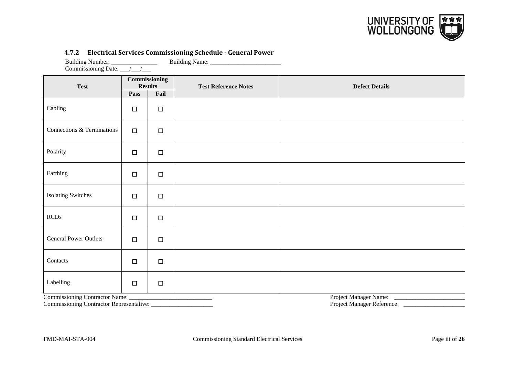

#### **4.7.2 Electrical Services Commissioning Schedule - General Power**

Building Number: \_\_\_\_\_\_\_\_\_\_\_\_\_\_\_\_\_\_\_\_ Building Name: \_\_\_\_\_\_\_\_\_\_\_\_\_\_\_\_\_\_\_\_\_\_\_\_\_\_\_ Commissioning Date:  $\frac{1}{\sqrt{2\pi}}$ **Test Commissioning Results Reference Notes Defect Details Defect Details Pass**  $Cabling$   $\Box$ Connections & Terminations  $\Box$ Polarity  $\Box$   $\Box$ Earthing  $\Box$   $\Box$ Isolating Switches │ □ │ □ RCDs  $\Box$ General Power Outlets  $\Box$ Contacts  $\Box$ Labelling  $\Box$ 

<span id="page-14-0"></span>

Commissioning Contractor Representative: \_\_\_\_\_\_\_\_\_\_\_\_\_\_\_\_\_\_\_\_ Project Manager Reference: \_\_\_\_\_\_\_\_\_\_\_\_\_\_\_\_\_\_\_\_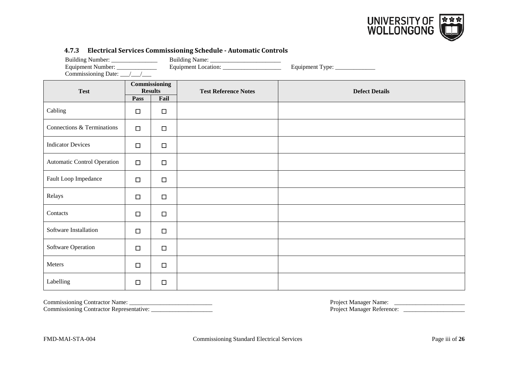

| Building Number: _______________<br>Equipment Number: _____________<br>Commissioning Date: __/__/___ |                        |                       |                             | Equipment Type: _____________ |
|------------------------------------------------------------------------------------------------------|------------------------|-----------------------|-----------------------------|-------------------------------|
| <b>Test</b>                                                                                          | <b>Results</b><br>Pass | Commissioning<br>Fail | <b>Test Reference Notes</b> | <b>Defect Details</b>         |
| Cabling                                                                                              | $\Box$                 | $\Box$                |                             |                               |
| Connections & Terminations                                                                           | $\Box$                 | $\Box$                |                             |                               |
| <b>Indicator Devices</b>                                                                             | $\Box$                 | $\Box$                |                             |                               |
| <b>Automatic Control Operation</b>                                                                   | $\Box$                 | $\Box$                |                             |                               |
| Fault Loop Impedance                                                                                 | $\Box$                 | $\Box$                |                             |                               |
| Relays                                                                                               | $\Box$                 | $\Box$                |                             |                               |
| Contacts                                                                                             | $\Box$                 | $\Box$                |                             |                               |
| Software Installation                                                                                | $\Box$                 | $\Box$                |                             |                               |
| <b>Software Operation</b>                                                                            | $\Box$                 | $\Box$                |                             |                               |
| Meters                                                                                               | $\Box$                 | $\Box$                |                             |                               |
| Labelling                                                                                            | $\Box$                 | $\Box$                |                             |                               |

#### **4.7.3 Electrical Services Commissioning Schedule - Automatic Controls**

<span id="page-15-0"></span>

Commissioning Contractor Representative: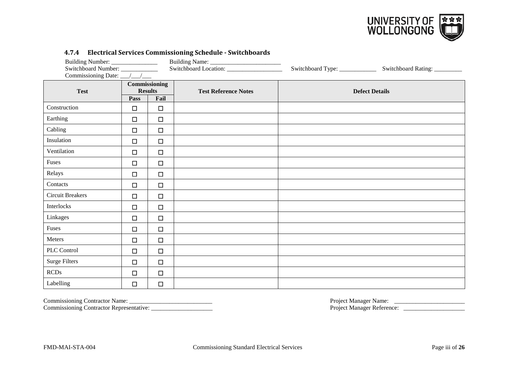

| Building Number: _________________<br>Switchboard Number: _____________<br>Commissioning Date: __/__/___ |                                         |        | 11711 Bleethein bet view commissioning beneather bivitenbourns | Switchboard Type: ___________ | Switchboard Rating:   |
|----------------------------------------------------------------------------------------------------------|-----------------------------------------|--------|----------------------------------------------------------------|-------------------------------|-----------------------|
| <b>Test</b>                                                                                              | Commissioning<br><b>Results</b><br>Pass | Fail   | <b>Test Reference Notes</b>                                    |                               | <b>Defect Details</b> |
| Construction                                                                                             | $\Box$                                  | $\Box$ |                                                                |                               |                       |
| Earthing                                                                                                 | $\Box$                                  | $\Box$ |                                                                |                               |                       |
| Cabling                                                                                                  | $\Box$                                  | $\Box$ |                                                                |                               |                       |
| Insulation                                                                                               | $\Box$                                  | $\Box$ |                                                                |                               |                       |
| Ventilation                                                                                              | $\Box$                                  | $\Box$ |                                                                |                               |                       |
| Fuses                                                                                                    | $\Box$                                  | $\Box$ |                                                                |                               |                       |
| Relays                                                                                                   | $\Box$                                  | $\Box$ |                                                                |                               |                       |
| Contacts                                                                                                 | $\Box$                                  | $\Box$ |                                                                |                               |                       |
| <b>Circuit Breakers</b>                                                                                  | $\Box$                                  | $\Box$ |                                                                |                               |                       |
| Interlocks                                                                                               | $\Box$                                  | $\Box$ |                                                                |                               |                       |
| Linkages                                                                                                 | $\Box$                                  | $\Box$ |                                                                |                               |                       |
| Fuses                                                                                                    | $\Box$                                  | $\Box$ |                                                                |                               |                       |
| Meters                                                                                                   | $\Box$                                  | $\Box$ |                                                                |                               |                       |
| PLC Control                                                                                              | $\Box$                                  | $\Box$ |                                                                |                               |                       |
| <b>Surge Filters</b>                                                                                     | $\Box$                                  | $\Box$ |                                                                |                               |                       |
| <b>RCDs</b>                                                                                              | $\Box$                                  | $\Box$ |                                                                |                               |                       |
| Labelling                                                                                                | $\Box$                                  | $\Box$ |                                                                |                               |                       |

#### **4.7.4 Electrical Services Commissioning Schedule - Switchboards**

<span id="page-16-0"></span>Commissioning Contractor Name: \_\_\_\_\_\_\_\_\_\_\_\_\_\_\_\_\_\_\_\_\_\_\_\_\_\_\_ Project Manager Name: \_\_\_\_\_\_\_\_\_\_\_\_\_\_\_\_\_\_\_\_\_\_\_

Commissioning Contractor Representative: \_\_\_\_\_\_\_\_\_\_\_\_\_\_\_\_\_\_\_\_ Project Manager Reference: \_\_\_\_\_\_\_\_\_\_\_\_\_\_\_\_\_\_\_\_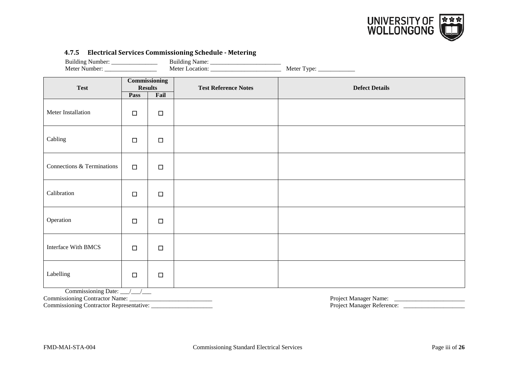

#### **4.7.5 Electrical Services Commissioning Schedule - Metering**

<span id="page-17-0"></span>

| Building Number: _________________          |                                 |        |                             |                       |
|---------------------------------------------|---------------------------------|--------|-----------------------------|-----------------------|
| <b>Test</b>                                 | Commissioning<br><b>Results</b> |        | <b>Test Reference Notes</b> | <b>Defect Details</b> |
|                                             | Pass                            | Fail   |                             |                       |
| Meter Installation                          | $\Box$                          | $\Box$ |                             |                       |
| Cabling                                     | $\Box$                          | $\Box$ |                             |                       |
| Connections & Terminations                  | $\Box$                          | $\Box$ |                             |                       |
| Calibration                                 | $\Box$                          | $\Box$ |                             |                       |
| Operation                                   | $\Box$                          | $\Box$ |                             |                       |
| <b>Interface With BMCS</b>                  | $\Box$                          | $\Box$ |                             |                       |
| Labelling                                   | $\Box$                          | $\Box$ |                             |                       |
| Commissioning Date: $\_\_\_\_\_\_\_\_\_\_\$ |                                 |        |                             |                       |
|                                             |                                 |        |                             |                       |
|                                             |                                 |        |                             |                       |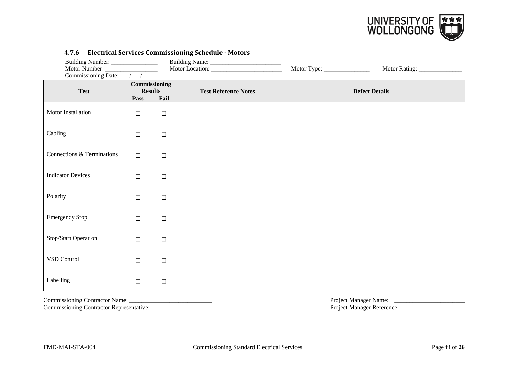

| 1.7.0 Littleting our vices commissioning seneathe Protots<br>Building Number: _________________<br>Motor Number:<br>Commissioning Date: __/__/___ |                        |                       |                             |                       |  |
|---------------------------------------------------------------------------------------------------------------------------------------------------|------------------------|-----------------------|-----------------------------|-----------------------|--|
| <b>Test</b>                                                                                                                                       | <b>Results</b><br>Pass | Commissioning<br>Fail | <b>Test Reference Notes</b> | <b>Defect Details</b> |  |
| Motor Installation                                                                                                                                | $\Box$                 | $\Box$                |                             |                       |  |
| Cabling                                                                                                                                           | $\Box$                 | $\Box$                |                             |                       |  |
| Connections & Terminations                                                                                                                        | $\Box$                 | $\Box$                |                             |                       |  |
| <b>Indicator Devices</b>                                                                                                                          | $\Box$                 | $\Box$                |                             |                       |  |
| Polarity                                                                                                                                          | $\Box$                 | $\Box$                |                             |                       |  |
| <b>Emergency Stop</b>                                                                                                                             | $\Box$                 | $\Box$                |                             |                       |  |
| Stop/Start Operation                                                                                                                              | $\Box$                 | $\Box$                |                             |                       |  |
| VSD Control                                                                                                                                       | $\Box$                 | $\Box$                |                             |                       |  |
| Labelling                                                                                                                                         | $\Box$                 | $\Box$                |                             |                       |  |

#### **4.7.6 Electrical Services Commissioning Schedule - Motors**

<span id="page-18-0"></span>Commissioning Contractor Name: \_\_\_\_\_\_\_\_\_\_\_\_\_\_\_\_\_\_\_\_\_\_\_\_\_\_\_ Project Manager Name: \_\_\_\_\_\_\_\_\_\_\_\_\_\_\_\_\_\_\_\_\_\_\_ Commissioning Contractor Representative: \_\_\_\_\_\_\_\_\_\_\_\_\_\_\_\_\_\_\_\_ Project Manager Reference: \_\_\_\_\_\_\_\_\_\_\_\_\_\_\_\_\_\_\_\_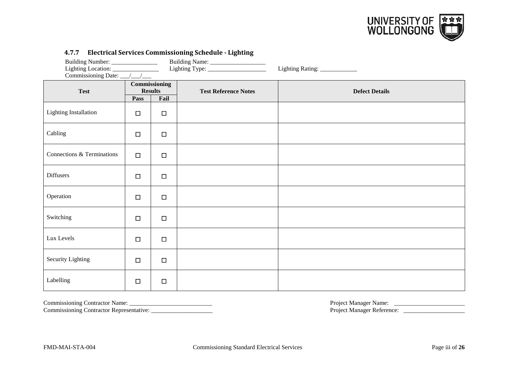

| Building Number: ________________<br>Lighting Location: ______________<br>Commissioning Date: __/__/___ |        |                                         | 4.7.7 Electrical Services Commissioning Schedule - Eighting | Lighting Rating: _____________ |  |  |
|---------------------------------------------------------------------------------------------------------|--------|-----------------------------------------|-------------------------------------------------------------|--------------------------------|--|--|
| <b>Test</b>                                                                                             | Pass   | Commissioning<br><b>Results</b><br>Fail | <b>Test Reference Notes</b>                                 | <b>Defect Details</b>          |  |  |
| <b>Lighting Installation</b>                                                                            | $\Box$ | $\Box$                                  |                                                             |                                |  |  |
| Cabling                                                                                                 | $\Box$ | $\Box$                                  |                                                             |                                |  |  |
| Connections & Terminations                                                                              | $\Box$ | $\Box$                                  |                                                             |                                |  |  |
| Diffusers                                                                                               | $\Box$ | $\Box$                                  |                                                             |                                |  |  |
| Operation                                                                                               | $\Box$ | $\Box$                                  |                                                             |                                |  |  |
| Switching                                                                                               | $\Box$ | $\Box$                                  |                                                             |                                |  |  |
| Lux Levels                                                                                              | $\Box$ | $\Box$                                  |                                                             |                                |  |  |
| Security Lighting                                                                                       | $\Box$ | $\Box$                                  |                                                             |                                |  |  |
| Labelling                                                                                               | $\Box$ | $\Box$                                  |                                                             |                                |  |  |

#### **4.7.7 Electrical Services Commissioning Schedule - Lighting**

<span id="page-19-0"></span>

Commissioning Contractor Representative: \_\_\_\_\_\_\_\_\_\_\_\_\_\_\_\_\_\_\_\_ Project Manager Reference: \_\_\_\_\_\_\_\_\_\_\_\_\_\_\_\_\_\_\_\_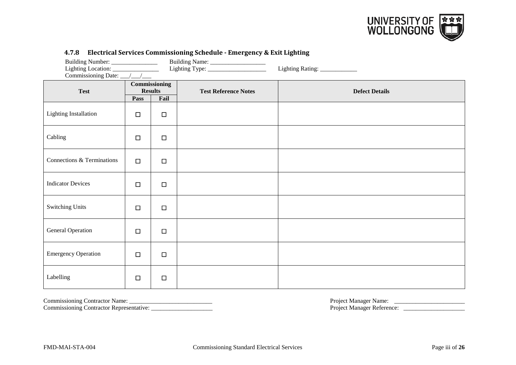

| Building Number: _________________<br>Commissioning Date: __/__/_ |        |                                         |                             | Lighting Rating: ____________ |
|-------------------------------------------------------------------|--------|-----------------------------------------|-----------------------------|-------------------------------|
| <b>Test</b>                                                       | Pass   | Commissioning<br><b>Results</b><br>Fail | <b>Test Reference Notes</b> | <b>Defect Details</b>         |
| <b>Lighting Installation</b>                                      | $\Box$ | $\Box$                                  |                             |                               |
| Cabling                                                           | $\Box$ | $\Box$                                  |                             |                               |
| Connections & Terminations                                        | $\Box$ | $\Box$                                  |                             |                               |
| <b>Indicator Devices</b>                                          | $\Box$ | $\Box$                                  |                             |                               |
| <b>Switching Units</b>                                            | $\Box$ | $\Box$                                  |                             |                               |
| <b>General Operation</b>                                          | $\Box$ | $\Box$                                  |                             |                               |
| <b>Emergency Operation</b>                                        | $\Box$ | $\Box$                                  |                             |                               |
| Labelling                                                         | $\Box$ | $\Box$                                  |                             |                               |

#### **4.7.8 Electrical Services Commissioning Schedule - Emergency & Exit Lighting**

<span id="page-20-0"></span>Commissioning Contractor Name: \_\_\_\_\_\_\_\_\_\_\_\_\_\_\_\_\_\_\_\_\_\_\_\_\_\_\_ Project Manager Name: \_\_\_\_\_\_\_\_\_\_\_\_\_\_\_\_\_\_\_\_\_\_\_ Commissioning Contractor Representative: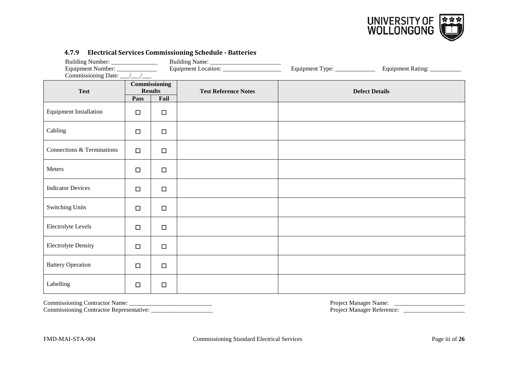

| 11712 - Biccu Rui Dei Vices commissioning beneutre Butterfes<br>Equipment Number: _____________ |                        |                       |                             | Equipment Type: ______________ | Equipment Rating: __________ |  |
|-------------------------------------------------------------------------------------------------|------------------------|-----------------------|-----------------------------|--------------------------------|------------------------------|--|
| <b>Test</b>                                                                                     | <b>Results</b><br>Pass | Commissioning<br>Fail | <b>Test Reference Notes</b> |                                | <b>Defect Details</b>        |  |
| <b>Equipment Installation</b>                                                                   | $\Box$                 | $\Box$                |                             |                                |                              |  |
| Cabling                                                                                         | $\Box$                 | $\Box$                |                             |                                |                              |  |
| Connections & Terminations                                                                      | $\Box$                 | $\Box$                |                             |                                |                              |  |
| Meters                                                                                          | $\Box$                 | $\Box$                |                             |                                |                              |  |
| <b>Indicator Devices</b>                                                                        | $\Box$                 | $\Box$                |                             |                                |                              |  |
| <b>Switching Units</b>                                                                          | $\Box$                 | $\Box$                |                             |                                |                              |  |
| <b>Electrolyte Levels</b>                                                                       | $\Box$                 | $\Box$                |                             |                                |                              |  |
| <b>Electrolyte Density</b>                                                                      | $\Box$                 | $\Box$                |                             |                                |                              |  |
| <b>Battery Operation</b>                                                                        | $\Box$                 | $\Box$                |                             |                                |                              |  |
| Labelling                                                                                       | $\Box$                 | $\Box$                |                             |                                |                              |  |

#### **4.7.9 Electrical Services Commissioning Schedule - Batteries**

<span id="page-21-0"></span>

Commissioning Contractor Representative: \_\_\_\_\_\_\_\_\_\_\_\_\_\_\_\_\_\_\_\_ Project Manager Reference: \_\_\_\_\_\_\_\_\_\_\_\_\_\_\_\_\_\_\_\_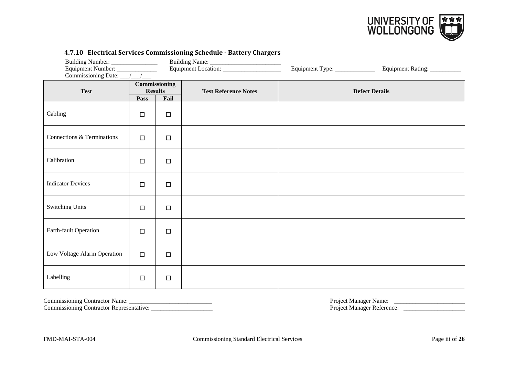

| 4.7.10 Electrical Services Commissioning Schedule • Battery Chargers<br>Equipment Number: ______________ |                                                                                              |        | Equipment Type: ______________ | Equipment Rating: __________ |  |
|----------------------------------------------------------------------------------------------------------|----------------------------------------------------------------------------------------------|--------|--------------------------------|------------------------------|--|
| <b>Test</b>                                                                                              | <b>Commissioning</b><br><b>Results</b><br><b>Test Reference Notes</b><br><b>Pass</b><br>Fail |        |                                | <b>Defect Details</b>        |  |
| Cabling                                                                                                  | $\Box$                                                                                       | $\Box$ |                                |                              |  |
| Connections & Terminations                                                                               | $\Box$                                                                                       | $\Box$ |                                |                              |  |
| Calibration                                                                                              | $\Box$                                                                                       | $\Box$ |                                |                              |  |
| <b>Indicator Devices</b>                                                                                 | $\Box$                                                                                       | $\Box$ |                                |                              |  |
| <b>Switching Units</b>                                                                                   | $\Box$                                                                                       | $\Box$ |                                |                              |  |
| Earth-fault Operation                                                                                    | $\Box$                                                                                       | $\Box$ |                                |                              |  |
| Low Voltage Alarm Operation                                                                              | $\Box$                                                                                       | $\Box$ |                                |                              |  |
| Labelling                                                                                                | $\Box$                                                                                       | $\Box$ |                                |                              |  |

**4.7.10 Electrical Services Commissioning Schedule - Battery Chargers**

<span id="page-22-0"></span>Commissioning Contractor Name: \_\_\_\_\_\_\_\_\_\_\_\_\_\_\_\_\_\_\_\_\_\_\_\_\_\_\_ Project Manager Name: \_\_\_\_\_\_\_\_\_\_\_\_\_\_\_\_\_\_\_\_\_\_\_ Commissioning Contractor Representative: \_\_\_\_\_\_\_\_\_\_\_\_\_\_\_\_\_\_\_\_ Project Manager Reference: \_\_\_\_\_\_\_\_\_\_\_\_\_\_\_\_\_\_\_\_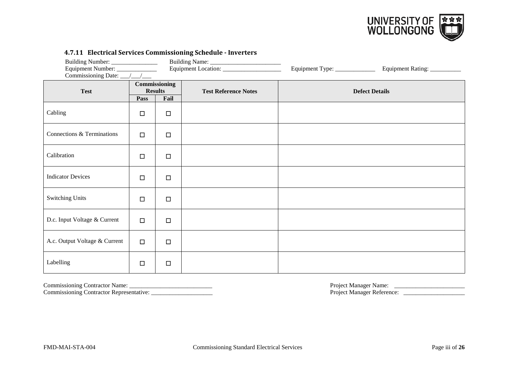

|                               | 1.7.11 Bleet Rai Services commissioning seneaute moet ters<br>Building Number: ______________<br>Equipment Number: ______________<br>Commissioning Date: __/__/__ |        |                             | Equipment Type: _____________ | Equipment Rating: ___________ |
|-------------------------------|-------------------------------------------------------------------------------------------------------------------------------------------------------------------|--------|-----------------------------|-------------------------------|-------------------------------|
| <b>Test</b>                   | Commissioning<br><b>Results</b><br>Fail<br>Pass                                                                                                                   |        | <b>Test Reference Notes</b> |                               | <b>Defect Details</b>         |
| Cabling                       | $\Box$                                                                                                                                                            | $\Box$ |                             |                               |                               |
| Connections & Terminations    | $\Box$                                                                                                                                                            | $\Box$ |                             |                               |                               |
| Calibration                   | $\Box$                                                                                                                                                            | $\Box$ |                             |                               |                               |
| <b>Indicator Devices</b>      | $\Box$                                                                                                                                                            | $\Box$ |                             |                               |                               |
| <b>Switching Units</b>        | $\Box$                                                                                                                                                            | $\Box$ |                             |                               |                               |
| D.c. Input Voltage & Current  | $\Box$                                                                                                                                                            | $\Box$ |                             |                               |                               |
| A.c. Output Voltage & Current | $\Box$                                                                                                                                                            | $\Box$ |                             |                               |                               |
| Labelling                     | $\Box$                                                                                                                                                            | $\Box$ |                             |                               |                               |

**4.7.11 Electrical Services Commissioning Schedule - Inverters**

<span id="page-23-0"></span>Commissioning Contractor Representative: \_\_\_\_\_\_\_\_\_\_\_\_\_\_\_\_\_\_\_\_ Project Manager Reference: \_\_\_\_\_\_\_\_\_\_\_\_\_\_\_\_\_\_\_\_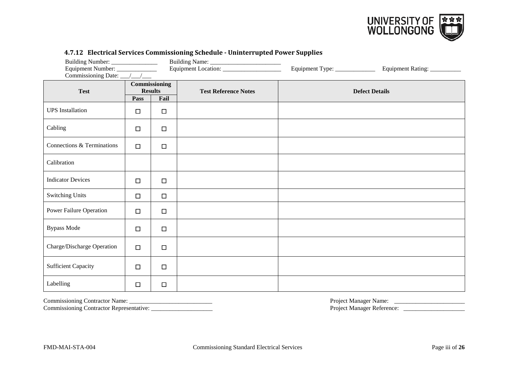

| Building Number: ________________<br>Equipment Number: _______________<br>Commissioning Date: __/__/___ |                                                 |        |                             | Equipment Type: ______________ | Equipment Rating: __________ |
|---------------------------------------------------------------------------------------------------------|-------------------------------------------------|--------|-----------------------------|--------------------------------|------------------------------|
| <b>Test</b>                                                                                             | Commissioning<br><b>Results</b><br>Fail<br>Pass |        | <b>Test Reference Notes</b> |                                | <b>Defect Details</b>        |
| <b>UPS</b> Installation                                                                                 | $\Box$                                          | □      |                             |                                |                              |
| Cabling                                                                                                 | $\Box$                                          | $\Box$ |                             |                                |                              |
| Connections & Terminations                                                                              | $\Box$                                          | $\Box$ |                             |                                |                              |
| Calibration                                                                                             |                                                 |        |                             |                                |                              |
| <b>Indicator Devices</b>                                                                                | $\Box$                                          | □      |                             |                                |                              |
| <b>Switching Units</b>                                                                                  | $\Box$                                          | $\Box$ |                             |                                |                              |
| Power Failure Operation                                                                                 | $\Box$                                          | $\Box$ |                             |                                |                              |
| <b>Bypass Mode</b>                                                                                      | $\Box$                                          | $\Box$ |                             |                                |                              |
| Charge/Discharge Operation                                                                              | $\Box$                                          | $\Box$ |                             |                                |                              |
| <b>Sufficient Capacity</b>                                                                              | $\Box$                                          | $\Box$ |                             |                                |                              |
| Labelling                                                                                               | $\Box$                                          | $\Box$ |                             |                                |                              |

#### **4.7.12 Electrical Services Commissioning Schedule - Uninterrupted Power Supplies**

<span id="page-24-0"></span>

Commissioning Contractor Representative: \_\_\_\_\_\_\_\_\_\_\_\_\_\_\_\_\_\_\_\_ Project Manager Reference: \_\_\_\_\_\_\_\_\_\_\_\_\_\_\_\_\_\_\_\_